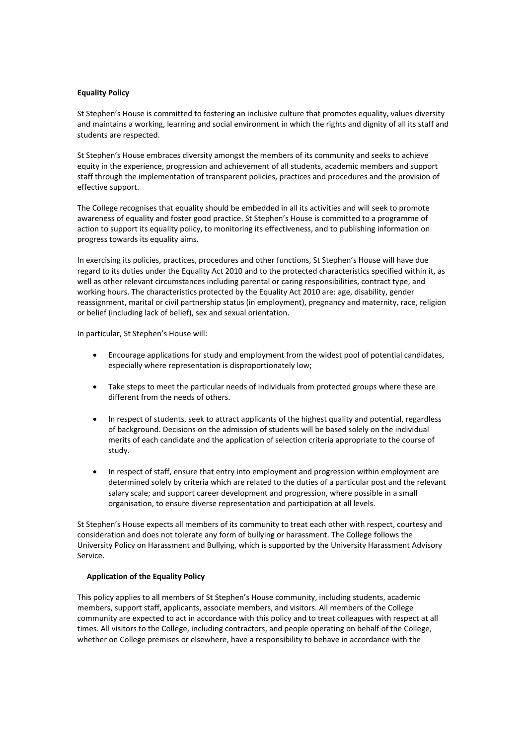# **Equality Policy**

St Stephen's House is committed to fostering an inclusive culture that promotes equality, values diversity and maintains a working, learning and social environment in which the rights and dignity of all its staff and students are respected.

St Stephen's House embraces diversity amongst the members of its community and seeks to achieve equity in the experience, progression and achievement of all students, academic members and support staff through the implementation of transparent policies, practices and procedures and the provision of effective support.

The College recognises that equality should be embedded in all its activities and will seek to promote awareness of equality and foster good practice. St Stephen's House is committed to a programme of action to support its equality policy, to monitoring its effectiveness, and to publishing information on progress towards its equality aims.

In exercising its policies, practices, procedures and other functions, St Stephen's House will have due regard to its duties under the Equality Act 2010 and to the protected characteristics specified within it, as well as other relevant circumstances including parental or caring responsibilities, contract type, and working hours. The characteristics protected by the Equality Act 2010 are: age, disability, gender reassignment, marital or civil partnership status (in employment), pregnancy and maternity, race, religion or belief (including lack of belief), sex and sexual orientation.

In particular, St Stephen's House will:

- Encourage applications for study and employment from the widest pool of potential candidates, especially where representation is disproportionately low;
- Take steps to meet the particular needs of individuals from protected groups where these are different from the needs of others.
- In respect of students, seek to attract applicants of the highest quality and potential, regardless of background. Decisions on the admission of students will be based solely on the individual merits of each candidate and the application of selection criteria appropriate to the course of study.
- In respect of staff, ensure that entry into employment and progression within employment are determined solely by criteria which are related to the duties of a particular post and the relevant salary scale; and support career development and progression, where possible in a small organisation, to ensure diverse representation and participation at all levels.

St Stephen's House expects all members of its community to treat each other with respect, courtesy and consideration and does not tolerate any form of bullying or harassment. The College follows the University Policy on Harassment and Bullying, which is supported by the University Harassment Advisory Service.

## **Application of the Equality Policy**

This policy applies to all members of St Stephen's House community, including students, academic members, support staff, applicants, associate members, and visitors. All members of the College community are expected to act in accordance with this policy and to treat colleagues with respect at all times. All visitors to the College, including contractors, and people operating on behalf of the College, whether on College premises or elsewhere, have a responsibility to behave in accordance with the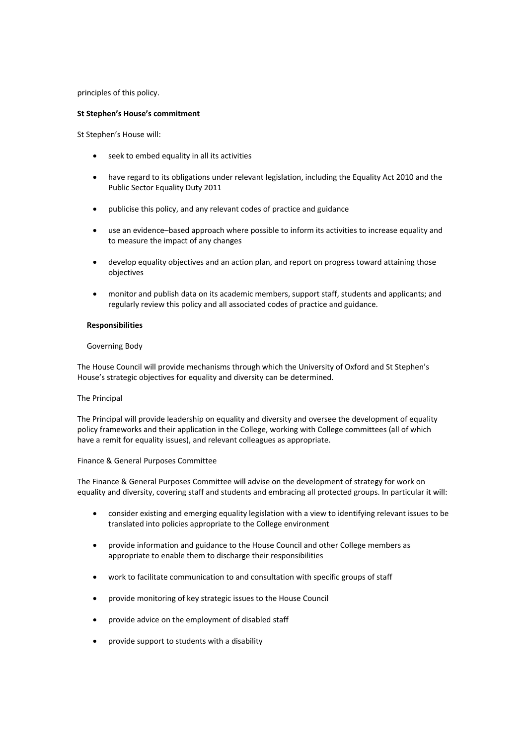principles of this policy.

## **St Stephen's House's commitment**

St Stephen's House will:

- seek to embed equality in all its activities
- have regard to its obligations under relevant legislation, including the Equality Act 2010 and the Public Sector Equality Duty 2011
- publicise this policy, and any relevant codes of practice and guidance
- use an evidence–based approach where possible to inform its activities to increase equality and to measure the impact of any changes
- develop equality objectives and an action plan, and report on progress toward attaining those objectives
- monitor and publish data on its academic members, support staff, students and applicants; and regularly review this policy and all associated codes of practice and guidance.

## **Responsibilities**

## Governing Body

The House Council will provide mechanisms through which the University of Oxford and St Stephen's House's strategic objectives for equality and diversity can be determined.

## The Principal

The Principal will provide leadership on equality and diversity and oversee the development of equality policy frameworks and their application in the College, working with College committees (all of which have a remit for equality issues), and relevant colleagues as appropriate.

## Finance & General Purposes Committee

The Finance & General Purposes Committee will advise on the development of strategy for work on equality and diversity, covering staff and students and embracing all protected groups. In particular it will:

- consider existing and emerging equality legislation with a view to identifying relevant issues to be translated into policies appropriate to the College environment
- provide information and guidance to the House Council and other College members as appropriate to enable them to discharge their responsibilities
- work to facilitate communication to and consultation with specific groups of staff
- provide monitoring of key strategic issues to the House Council
- provide advice on the employment of disabled staff
- provide support to students with a disability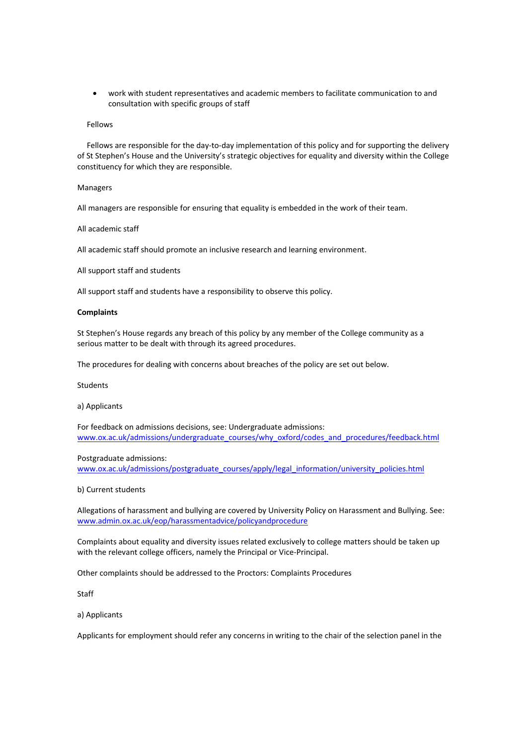work with student representatives and academic members to facilitate communication to and consultation with specific groups of staff

#### Fellows

Fellows are responsible for the day-to-day implementation of this policy and for supporting the delivery of St Stephen's House and the University's strategic objectives for equality and diversity within the College constituency for which they are responsible.

#### Managers

All managers are responsible for ensuring that equality is embedded in the work of their team.

## All academic staff

All academic staff should promote an inclusive research and learning environment.

All support staff and students

All support staff and students have a responsibility to observe this policy.

## **Complaints**

St Stephen's House regards any breach of this policy by any member of the College community as a serious matter to be dealt with through its agreed procedures.

The procedures for dealing with concerns about breaches of the policy are set out below.

Students

## a) Applicants

For feedback on admissions decisions, see: Undergraduate admissions: www.ox.ac.uk/admissions/undergraduate\_courses/why\_oxford/codes\_and\_procedures/feedback.html

## Postgraduate admissions:

www.ox.ac.uk/admissions/postgraduate\_courses/apply/legal\_information/university\_policies.html

## b) Current students

Allegations of harassment and bullying are covered by University Policy on Harassment and Bullying. See: www.admin.ox.ac.uk/eop/harassmentadvice/policyandprocedure

Complaints about equality and diversity issues related exclusively to college matters should be taken up with the relevant college officers, namely the Principal or Vice-Principal.

Other complaints should be addressed to the Proctors: Complaints Procedures

Staff

# a) Applicants

Applicants for employment should refer any concerns in writing to the chair of the selection panel in the